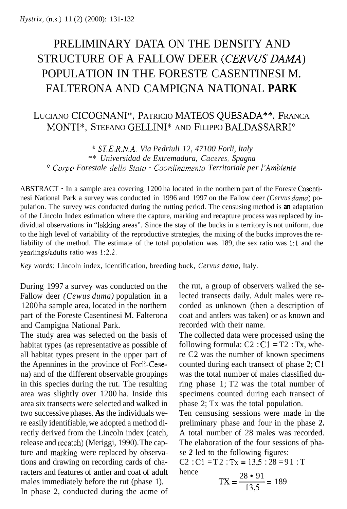## PRELIMINARY DATA ON THE DENSITY AND STRUCTURE OF A FALLOW DEER *(CERVUS DAMA)*  POPULATION IN THE FORESTE CASENTINESI M. FALTERONA AND CAMPIGNA NATIONAL **PARK**

## LUCIANO CICOGNANI", PATRICIO MATEOS QUESADA\*\*, FRANCA MONTI\*, STEFANO GELLINI\* AND FILIPPO BALDASSARRI°

\* *SiSE.R.N.A. Via Pedriuli 12, 47100 Forli, Italy*  \*\* *Universidad de Extremadura, Cuceres, Spagna Corpo Forestale dell0 Stat0* - *Coordinamento Territoriale per I'Ambiente* 

ABSTRACT - In a sample area covering 1200 ha located in the northern part of the Foreste Casentinesi National Park a survey was conducted in 1996 and 1997 on the Fallow deer *(Cervus duma)* population. The survey was conducted during the rutting period. The censusing method is **an** adaptation of the Lincoln Index estimation where the capture, marking and recapture process was replaced by individual observations in "lekking areas". Since the stay of the bucks in a territory is not uniform, due to the high level of variability of the reproductive strategies, the mixing of the bucks improves the reliability of the method. The estimate of the total population was 189, the sex ratio was 1:l and the yearlings/adults ratio was 1:2.2.

*Key words:* Lincoln index, identification, breeding buck, *Cervus dama,* Italy.

During 1997 a survey was conducted on the Fallow deer *(Cewus duma)* population in a 1200 ha sample area, located in the northern part of the Foreste Casentinesi M. Falterona and Campigna National Park.

The study area was selected on the basis of habitat types (as representative as possible of all habitat types present in the upper part of the Apennines in the province of Forli-Cesena) and of the different observable groupings in this species during the rut. The resulting area was slightly over 1200 ha. Inside this area six transects were selected and walked in two successive phases. **As** the individuals were easily identifiable, we adopted a method directly derived from the Lincoln index (catch, release and recatch) (Meriggi, 1990). The capture and marking were replaced by observations and drawing on recording cards of characters and features of antler and coat of adult males immediately before the rut (phase 1). In phase 2, conducted during the acme of the rut, a group of observers walked the selected transects daily. Adult males were recorded as unknown (then a description of coat and antlers was taken) or as known and recorded with their name.

The collected data were processed using the following formula:  $C2$ :  $C1 = T2$ : Tx, where C2 was the number of known specimens counted during each transect of phase 2; C1 was the total number of males classified during phase 1; T2 was the total number of specimens counted during each transect of phase 2; Tx was the total population.

Ten censusing sessions were made in the preliminary phase and four in the phase *2.*  A total number of 28 males was recorded. The elaboration of the four sessions of phase *2* led to the following figures:

C2 : C1 = T2 : Tx = 13,5 : 28 = 91 : T  
hence  

$$
TX = \frac{28 \cdot 91}{13,5} = 189
$$